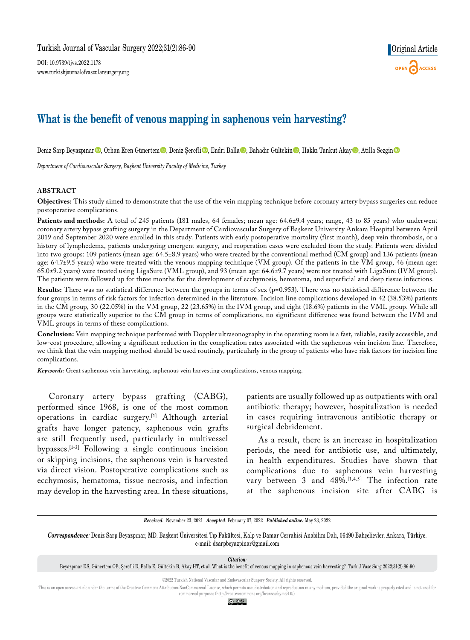DOI: 10.9739/tjvs.2022.1178 www.turkishjournalofvascularsurgery.org



# **What is the benefit of venous mapping in saphenous vein harvesting?**

Deniz Sarp Beyazpınar<sup>®</sup>, Orhan Eren Günertem®, Deniz Şerefli®, Endri Balla®, Bahadır Gültekin®, Hakkı Tankut Akay®, Atilla Sezgin®

*Department of Cardiovascular Surgery, Başkent University Faculty of Medicine, Turkey*

#### **ABSTRACT**

**Objectives:** This study aimed to demonstrate that the use of the vein mapping technique before coronary artery bypass surgeries can reduce postoperative complications.

Patients and methods: A total of 245 patients (181 males, 64 females; mean age: 64.6±9.4 years; range, 43 to 85 years) who underwent coronary artery bypass grafting surgery in the Department of Cardiovascular Surgery of Başkent University Ankara Hospital between April 2019 and September 2020 were enrolled in this study. Patients with early postoperative mortality (first month), deep vein thrombosis, or a history of lymphedema, patients undergoing emergent surgery, and reoperation cases were excluded from the study. Patients were divided into two groups: 109 patients (mean age: 64.5±8.9 years) who were treated by the conventional method (CM group) and 136 patients (mean age: 64.7±9.5 years) who were treated with the venous mapping technique (VM group). Of the patients in the VM group, 46 (mean age: 65.0±9.2 years) were treated using LigaSure (VML group), and 93 (mean age: 64.6±9.7 years) were not treated with LigaSure (IVM group). The patients were followed up for three months for the development of ecchymosis, hematoma, and superficial and deep tissue infections.

**Results:** There was no statistical difference between the groups in terms of sex (p=0.953). There was no statistical difference between the four groups in terms of risk factors for infection determined in the literature. Incision line complications developed in 42 (38.53%) patients in the CM group, 30 (22.05%) in the VM group, 22 (23.65%) in the IVM group, and eight (18.6%) patients in the VML group. While all groups were statistically superior to the CM group in terms of complications, no significant difference was found between the IVM and VML groups in terms of these complications.

**Conclusion:** Vein mapping technique performed with Doppler ultrasonography in the operating room is a fast, reliable, easily accessible, and low-cost procedure, allowing a significant reduction in the complication rates associated with the saphenous vein incision line. Therefore, we think that the vein mapping method should be used routinely, particularly in the group of patients who have risk factors for incision line complications.

*Keywords:* Great saphenous vein harvesting, saphenous vein harvesting complications, venous mapping.

Coronary artery bypass grafting (CABG), performed since 1968, is one of the most common operations in cardiac surgery.[1] Although arterial grafts have longer patency, saphenous vein grafts are still frequently used, particularly in multivessel bypasses.[1-3] Following a single continuous incision or skipping incisions, the saphenous vein is harvested via direct vision. Postoperative complications such as ecchymosis, hematoma, tissue necrosis, and infection may develop in the harvesting area. In these situations, patients are usually followed up as outpatients with oral antibiotic therapy; however, hospitalization is needed in cases requiring intravenous antibiotic therapy or surgical debridement.

As a result, there is an increase in hospitalization periods, the need for antibiotic use, and ultimately, in health expenditures. Studies have shown that complications due to saphenous vein harvesting vary between 3 and 48%.<sup>[1,4,5]</sup> The infection rate at the saphenous incision site after CABG is

*Received:* November 23, 2021 *Accepted:* February 07, 2022 *Published online:* May 23, 2022

*Correspondence:* Deniz Sarp Beyazpınar, MD. Başkent Üniversitesi Tıp Fakültesi, Kalp ve Damar Cerrahisi Anabilim Dalı, 06490 Bahçelievler, Ankara, Türkiye. e-mail: dsarpbeyazpinar@gmail.com

*Citation:*

©2022 Turkish National Vascular and Endovascular Surgery Society. All rights reserved.

This is an open access article under the terms of the Creative Commons Attribution-NonCommercial License, which permits use, distribution and reproduction in any medium, provided the original work is properly cited and is commercial purposes (http://creativecommons.org/licenses/by-nc/4.0/).

<u>ම ⊙ෙ</u>

Beyazpınar DS, Günertem OE, Şerefli D, Balla E, Gültekin B, Akay HT, et al. What is the benefit of venous mapping in saphenous vein harvesting?. Turk J Vasc Surg 2022;31(2):86-90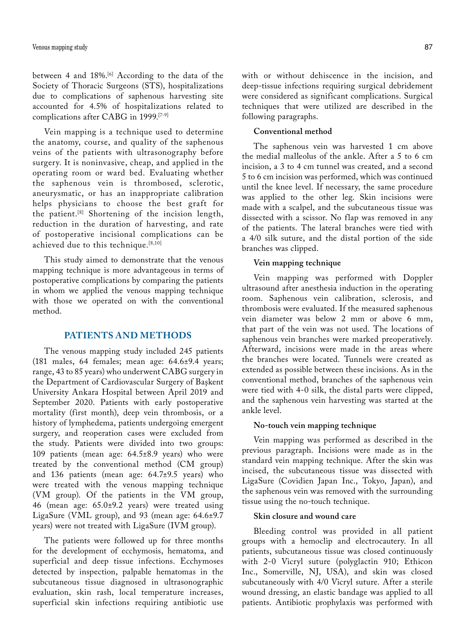between 4 and 18%.[6] According to the data of the Society of Thoracic Surgeons (STS), hospitalizations due to complications of saphenous harvesting site accounted for 4.5% of hospitalizations related to complications after CABG in 1999.[7-9]

Vein mapping is a technique used to determine the anatomy, course, and quality of the saphenous veins of the patients with ultrasonography before surgery. It is noninvasive, cheap, and applied in the operating room or ward bed. Evaluating whether the saphenous vein is thrombosed, sclerotic, aneurysmatic, or has an inappropriate calibration helps physicians to choose the best graft for the patient.[8] Shortening of the incision length, reduction in the duration of harvesting, and rate of postoperative incisional complications can be achieved due to this technique.[8,10]

This study aimed to demonstrate that the venous mapping technique is more advantageous in terms of postoperative complications by comparing the patients in whom we applied the venous mapping technique with those we operated on with the conventional method.

# **PATIENTS AND METHODS**

The venous mapping study included 245 patients (181 males, 64 females; mean age: 64.6±9.4 years; range, 43 to 85 years) who underwent CABG surgery in the Department of Cardiovascular Surgery of Başkent University Ankara Hospital between April 2019 and September 2020. Patients with early postoperative mortality (first month), deep vein thrombosis, or a history of lymphedema, patients undergoing emergent surgery, and reoperation cases were excluded from the study. Patients were divided into two groups: 109 patients (mean age: 64.5±8.9 years) who were treated by the conventional method (CM group) and 136 patients (mean age: 64.7±9.5 years) who were treated with the venous mapping technique (VM group). Of the patients in the VM group, 46 (mean age: 65.0±9.2 years) were treated using LigaSure (VML group), and 93 (mean age: 64.6±9.7 years) were not treated with LigaSure (IVM group).

The patients were followed up for three months for the development of ecchymosis, hematoma, and superficial and deep tissue infections. Ecchymoses detected by inspection, palpable hematomas in the subcutaneous tissue diagnosed in ultrasonographic evaluation, skin rash, local temperature increases, superficial skin infections requiring antibiotic use

with or without dehiscence in the incision, and deep-tissue infections requiring surgical debridement were considered as significant complications. Surgical techniques that were utilized are described in the following paragraphs.

#### **Conventional method**

The saphenous vein was harvested 1 cm above the medial malleolus of the ankle. After a 5 to 6 cm incision, a 3 to 4 cm tunnel was created, and a second 5 to 6 cm incision was performed, which was continued until the knee level. If necessary, the same procedure was applied to the other leg. Skin incisions were made with a scalpel, and the subcutaneous tissue was dissected with a scissor. No flap was removed in any of the patients. The lateral branches were tied with a 4/0 silk suture, and the distal portion of the side branches was clipped.

#### **Vein mapping technique**

Vein mapping was performed with Doppler ultrasound after anesthesia induction in the operating room. Saphenous vein calibration, sclerosis, and thrombosis were evaluated. If the measured saphenous vein diameter was below 2 mm or above 6 mm, that part of the vein was not used. The locations of saphenous vein branches were marked preoperatively. Afterward, incisions were made in the areas where the branches were located. Tunnels were created as extended as possible between these incisions. As in the conventional method, branches of the saphenous vein were tied with 4-0 silk, the distal parts were clipped, and the saphenous vein harvesting was started at the ankle level.

#### **No-touch vein mapping technique**

Vein mapping was performed as described in the previous paragraph. Incisions were made as in the standard vein mapping technique. After the skin was incised, the subcutaneous tissue was dissected with LigaSure (Covidien Japan Inc., Tokyo, Japan), and the saphenous vein was removed with the surrounding tissue using the no-touch technique.

#### **Skin closure and wound care**

Bleeding control was provided in all patient groups with a hemoclip and electrocautery. In all patients, subcutaneous tissue was closed continuously with 2-0 Vicryl suture (polyglactin 910; Ethicon Inc., Somerville, NJ, USA), and skin was closed subcutaneously with 4/0 Vicryl suture. After a sterile wound dressing, an elastic bandage was applied to all patients. Antibiotic prophylaxis was performed with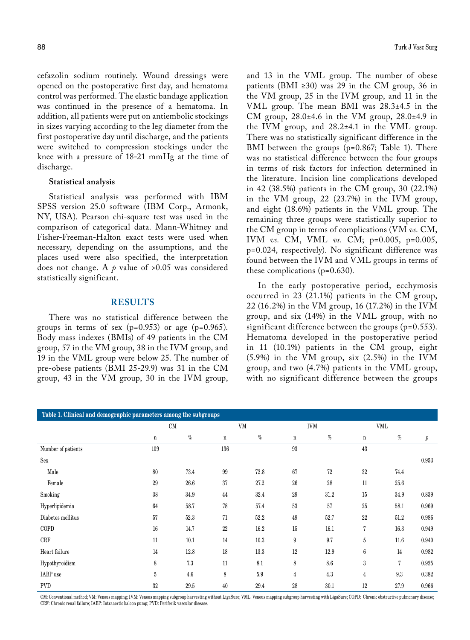cefazolin sodium routinely. Wound dressings were opened on the postoperative first day, and hematoma control was performed. The elastic bandage application was continued in the presence of a hematoma. In addition, all patients were put on antiembolic stockings in sizes varying according to the leg diameter from the first postoperative day until discharge, and the patients were switched to compression stockings under the knee with a pressure of 18-21 mmHg at the time of discharge.

#### **Statistical analysis**

Statistical analysis was performed with IBM SPSS version 25.0 software (IBM Corp., Armonk, NY, USA). Pearson chi-square test was used in the comparison of categorical data. Mann-Whitney and Fisher-Freeman-Halton exact tests were used when necessary, depending on the assumptions, and the places used were also specified, the interpretation does not change. A  $\rho$  value of >0.05 was considered statistically significant.

# **RESULTS**

There was no statistical difference between the groups in terms of sex  $(p=0.953)$  or age  $(p=0.965)$ . Body mass indexes (BMIs) of 49 patients in the CM group, 57 in the VM group, 38 in the IVM group, and 19 in the VML group were below 25. The number of pre-obese patients (BMI 25-29.9) was 31 in the CM group, 43 in the VM group, 30 in the IVM group,

and 13 in the VML group. The number of obese patients (BMI ≥30) was 29 in the CM group, 36 in the VM group, 25 in the IVM group, and 11 in the VML group. The mean BMI was 28.3±4.5 in the CM group, 28.0±4.6 in the VM group, 28.0±4.9 in the IVM group, and 28.2±4.1 in the VML group. There was no statistically significant difference in the BMI between the groups (p=0.867; Table 1). There was no statistical difference between the four groups in terms of risk factors for infection determined in the literature. Incision line complications developed in 42 (38.5%) patients in the CM group, 30 (22.1%) in the VM group, 22 (23.7%) in the IVM group, and eight (18.6%) patients in the VML group. The remaining three groups were statistically superior to the CM group in terms of complications (VM *vs.* CM, IVM *vs.* CM, VML *vs.* CM; p=0.005, p=0.005, p=0.024, respectively). No significant difference was found between the IVM and VML groups in terms of these complications (p=0.630).

In the early postoperative period, ecchymosis occurred in 23 (21.1%) patients in the CM group, 22 (16.2%) in the VM group, 16 (17.2%) in the IVM group, and six (14%) in the VML group, with no significant difference between the groups (p=0.553). Hematoma developed in the postoperative period in 11 (10.1%) patients in the CM group, eight (5.9%) in the VM group, six (2.5%) in the IVM group, and two (4.7%) patients in the VML group, with no significant difference between the groups

| Table 1. Clinical and demographic parameters among the subgroups |          |      |             |      |                |      |                 |      |       |
|------------------------------------------------------------------|----------|------|-------------|------|----------------|------|-----------------|------|-------|
|                                                                  | $\rm CM$ |      | VM          |      | <b>IVM</b>     |      | VML             |      |       |
|                                                                  | n        | $\%$ | $\mathbf n$ | $\%$ | $\mathbf n$    | $\%$ | $\mathbf n$     | $\%$ | $\,p$ |
| Number of patients                                               | 109      |      | 136         |      | 93             |      | 43              |      |       |
| Sex                                                              |          |      |             |      |                |      |                 |      | 0.953 |
| Male                                                             | 80       | 73.4 | 99          | 72.8 | 67             | 72   | 32              | 74.4 |       |
| Female                                                           | 29       | 26.6 | 37          | 27.2 | 26             | 28   | 11              | 25.6 |       |
| Smoking                                                          | 38       | 34.9 | 44          | 32.4 | 29             | 31.2 | 15              | 34.9 | 0.839 |
| Hyperlipidemia                                                   | 64       | 58.7 | 78          | 57.4 | 53             | 57   | 25              | 58.1 | 0.969 |
| Diabetes mellitus                                                | 57       | 52.3 | 71          | 52.2 | 49             | 52.7 | 22              | 51.2 | 0.986 |
| COPD                                                             | 16       | 14.7 | 22          | 16.2 | 15             | 16.1 | 7               | 16.3 | 0.949 |
| CRF                                                              | 11       | 10.1 | 14          | 10.3 | 9              | 9.7  | $\bf 5$         | 11.6 | 0.940 |
| Heart failure                                                    | 14       | 12.8 | 18          | 13.3 | 12             | 12.9 | $6\phantom{.}6$ | 14   | 0.982 |
| Hypothyroidism                                                   | 8        | 7.3  | 11          | 8.1  | 8              | 8.6  | 3               | 7    | 0.925 |
| IABP use                                                         | 5        | 4.6  | 8           | 5.9  | $\overline{4}$ | 4.3  | 4               | 9.3  | 0.382 |
| <b>PVD</b>                                                       | 32       | 29.5 | 40          | 29.4 | 28             | 30.1 | 12              | 27.9 | 0.966 |

CM: Conventional method; VM: Venous mapping; IVM: Venous mapping subgroup harvesting without LigaSure; VML: Venous mapping subgroup harvesting with LigaSure; COPD: Chronic obstructive pulmonary disease; CRF: Chronic renal failure; IABP: Intraaortic baloon pump; PVD: Periferik vascular disease.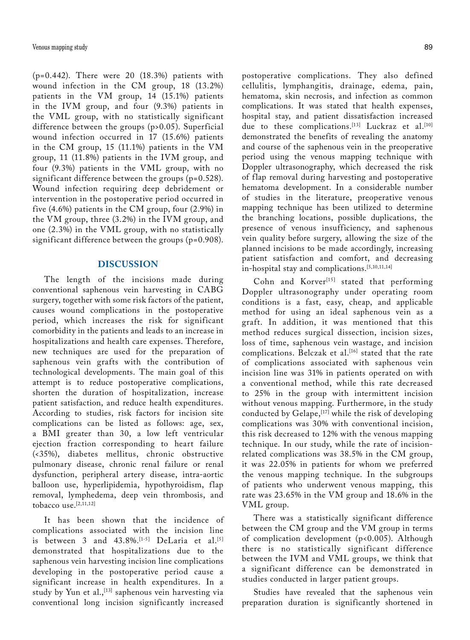(p=0.442). There were 20 (18.3%) patients with wound infection in the CM group, 18 (13.2%) patients in the VM group, 14 (15.1%) patients in the IVM group, and four (9.3%) patients in the VML group, with no statistically significant difference between the groups (p>0.05). Superficial wound infection occurred in 17 (15.6%) patients in the CM group, 15 (11.1%) patients in the VM group, 11 (11.8%) patients in the IVM group, and four (9.3%) patients in the VML group, with no significant difference between the groups (p=0.528). Wound infection requiring deep debridement or intervention in the postoperative period occurred in five (4.6%) patients in the CM group, four (2.9%) in the VM group, three (3.2%) in the IVM group, and one (2.3%) in the VML group, with no statistically significant difference between the groups (p=0.908).

### **DISCUSSION**

The length of the incisions made during conventional saphenous vein harvesting in CABG surgery, together with some risk factors of the patient, causes wound complications in the postoperative period, which increases the risk for significant comorbidity in the patients and leads to an increase in hospitalizations and health care expenses. Therefore, new techniques are used for the preparation of saphenous vein grafts with the contribution of technological developments. The main goal of this attempt is to reduce postoperative complications, shorten the duration of hospitalization, increase patient satisfaction, and reduce health expenditures. According to studies, risk factors for incision site complications can be listed as follows: age, sex, a BMI greater than 30, a low left ventricular ejection fraction corresponding to heart failure (<35%), diabetes mellitus, chronic obstructive pulmonary disease, chronic renal failure or renal dysfunction, peripheral artery disease, intra-aortic balloon use, hyperlipidemia, hypothyroidism, flap removal, lymphedema, deep vein thrombosis, and tobacco use. $[2,11,12]$ 

It has been shown that the incidence of complications associated with the incision line is between 3 and 43.8%.<sup>[1-5]</sup> DeLaria et al.<sup>[5]</sup> demonstrated that hospitalizations due to the saphenous vein harvesting incision line complications developing in the postoperative period cause a significant increase in health expenditures. In a study by Yun et al.,<sup>[13]</sup> saphenous vein harvesting via conventional long incision significantly increased

postoperative complications. They also defined cellulitis, lymphangitis, drainage, edema, pain, hematoma, skin necrosis, and infection as common complications. It was stated that health expenses, hospital stay, and patient dissatisfaction increased due to these complications.<sup>[13]</sup> Luckraz et al.<sup>[10]</sup> demonstrated the benefits of revealing the anatomy and course of the saphenous vein in the preoperative period using the venous mapping technique with Doppler ultrasonography, which decreased the risk of flap removal during harvesting and postoperative hematoma development. In a considerable number of studies in the literature, preoperative venous mapping technique has been utilized to determine the branching locations, possible duplications, the presence of venous insufficiency, and saphenous vein quality before surgery, allowing the size of the planned incisions to be made accordingly, increasing patient satisfaction and comfort, and decreasing in-hospital stay and complications.[5,10,11,14]

Cohn and Korver<sup>[15]</sup> stated that performing Doppler ultrasonography under operating room conditions is a fast, easy, cheap, and applicable method for using an ideal saphenous vein as a graft. In addition, it was mentioned that this method reduces surgical dissection, incision sizes, loss of time, saphenous vein wastage, and incision complications. Belczak et al.<sup>[16]</sup> stated that the rate of complications associated with saphenous vein incision line was 31% in patients operated on with a conventional method, while this rate decreased to 25% in the group with intermittent incision without venous mapping. Furthermore, in the study conducted by Gelape, <a>[17]</a> while the risk of developing complications was 30% with conventional incision, this risk decreased to 12% with the venous mapping technique. In our study, while the rate of incisionrelated complications was 38.5% in the CM group, it was 22.05% in patients for whom we preferred the venous mapping technique. In the subgroups of patients who underwent venous mapping, this rate was 23.65% in the VM group and 18.6% in the VML group.

There was a statistically significant difference between the CM group and the VM group in terms of complication development (p<0.005). Although there is no statistically significant difference between the IVM and VML groups, we think that a significant difference can be demonstrated in studies conducted in larger patient groups.

Studies have revealed that the saphenous vein preparation duration is significantly shortened in